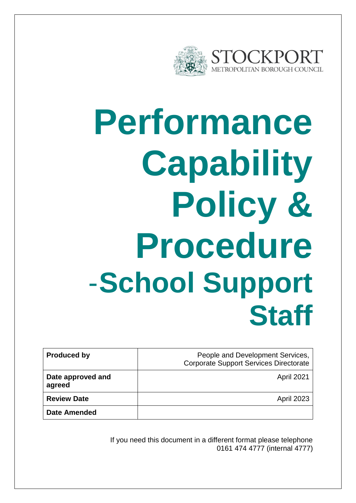

# **Performance Capability Policy & Procedure** -**School Support Staff**

| <b>Produced by</b>          | People and Development Services,<br><b>Corporate Support Services Directorate</b> |
|-----------------------------|-----------------------------------------------------------------------------------|
| Date approved and<br>agreed | <b>April 2021</b>                                                                 |
| <b>Review Date</b>          | <b>April 2023</b>                                                                 |
| <b>Date Amended</b>         |                                                                                   |

If you need this document in a different format please telephone 0161 474 4777 (internal 4777)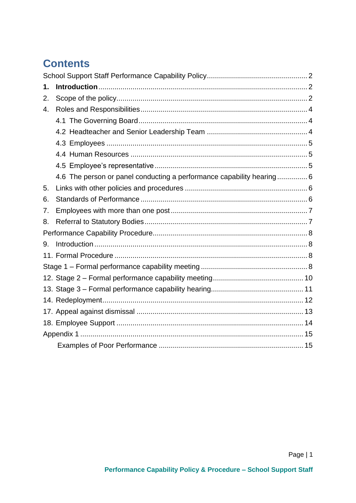### **Contents**

| 1. |                                                                       |  |
|----|-----------------------------------------------------------------------|--|
| 2. |                                                                       |  |
| 4. |                                                                       |  |
|    |                                                                       |  |
|    |                                                                       |  |
|    |                                                                       |  |
|    |                                                                       |  |
|    |                                                                       |  |
|    | 4.6 The person or panel conducting a performance capability hearing 6 |  |
| 5. |                                                                       |  |
| 6. |                                                                       |  |
| 7. |                                                                       |  |
| 8. |                                                                       |  |
|    |                                                                       |  |
| 9. |                                                                       |  |
|    |                                                                       |  |
|    |                                                                       |  |
|    |                                                                       |  |
|    |                                                                       |  |
|    |                                                                       |  |
|    |                                                                       |  |
|    |                                                                       |  |
|    |                                                                       |  |
|    |                                                                       |  |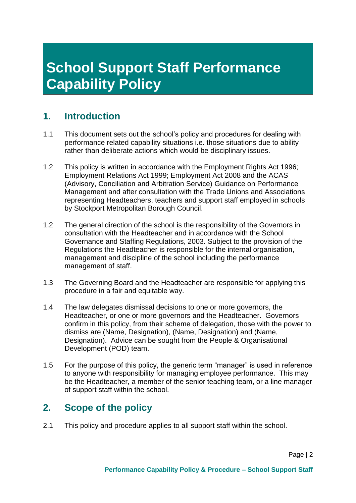## <span id="page-2-0"></span>**School Support Staff Performance Capability Policy**

### <span id="page-2-1"></span>**1. Introduction**

- 1.1 This document sets out the school's policy and procedures for dealing with performance related capability situations i.e. those situations due to ability rather than deliberate actions which would be disciplinary issues.
- 1.2 This policy is written in accordance with the Employment Rights Act 1996; Employment Relations Act 1999; Employment Act 2008 and the ACAS (Advisory, Conciliation and Arbitration Service) Guidance on Performance Management and after consultation with the Trade Unions and Associations representing Headteachers, teachers and support staff employed in schools by Stockport Metropolitan Borough Council.
- 1.2 The general direction of the school is the responsibility of the Governors in consultation with the Headteacher and in accordance with the School Governance and Staffing Regulations, 2003. Subject to the provision of the Regulations the Headteacher is responsible for the internal organisation, management and discipline of the school including the performance management of staff.
- 1.3 The Governing Board and the Headteacher are responsible for applying this procedure in a fair and equitable way.
- 1.4 The law delegates dismissal decisions to one or more governors, the Headteacher, or one or more governors and the Headteacher. Governors confirm in this policy, from their scheme of delegation, those with the power to dismiss are (Name, Designation), (Name, Designation) and (Name, Designation). Advice can be sought from the People & Organisational Development (POD) team.
- 1.5 For the purpose of this policy, the generic term "manager" is used in reference to anyone with responsibility for managing employee performance. This may be the Headteacher, a member of the senior teaching team, or a line manager of support staff within the school.

### <span id="page-2-2"></span>**2. Scope of the policy**

2.1 This policy and procedure applies to all support staff within the school.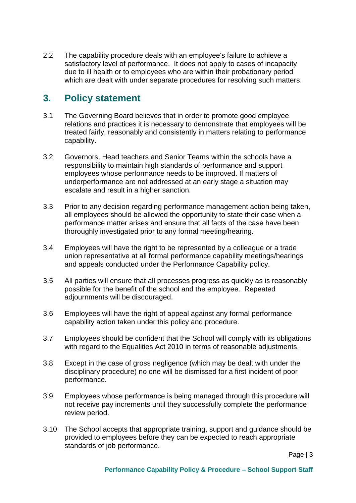2.2 The capability procedure deals with an employee's failure to achieve a satisfactory level of performance. It does not apply to cases of incapacity due to ill health or to employees who are within their probationary period which are dealt with under separate procedures for resolving such matters.

### **3. Policy statement**

- 3.1 The Governing Board believes that in order to promote good employee relations and practices it is necessary to demonstrate that employees will be treated fairly, reasonably and consistently in matters relating to performance capability.
- 3.2 Governors, Head teachers and Senior Teams within the schools have a responsibility to maintain high standards of performance and support employees whose performance needs to be improved. If matters of underperformance are not addressed at an early stage a situation may escalate and result in a higher sanction.
- 3.3 Prior to any decision regarding performance management action being taken, all employees should be allowed the opportunity to state their case when a performance matter arises and ensure that all facts of the case have been thoroughly investigated prior to any formal meeting/hearing.
- 3.4 Employees will have the right to be represented by a colleague or a trade union representative at all formal performance capability meetings/hearings and appeals conducted under the Performance Capability policy.
- 3.5 All parties will ensure that all processes progress as quickly as is reasonably possible for the benefit of the school and the employee. Repeated adjournments will be discouraged.
- 3.6 Employees will have the right of appeal against any formal performance capability action taken under this policy and procedure.
- 3.7 Employees should be confident that the School will comply with its obligations with regard to the Equalities Act 2010 in terms of reasonable adjustments.
- 3.8 Except in the case of gross negligence (which may be dealt with under the disciplinary procedure) no one will be dismissed for a first incident of poor performance.
- 3.9 Employees whose performance is being managed through this procedure will not receive pay increments until they successfully complete the performance review period.
- 3.10 The School accepts that appropriate training, support and guidance should be provided to employees before they can be expected to reach appropriate standards of job performance.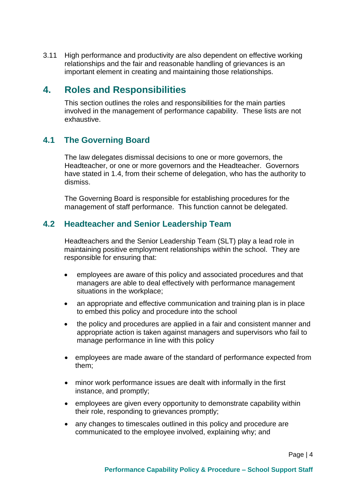3.11 High performance and productivity are also dependent on effective working relationships and the fair and reasonable handling of grievances is an important element in creating and maintaining those relationships.

### <span id="page-4-0"></span>**4. Roles and Responsibilities**

This section outlines the roles and responsibilities for the main parties involved in the management of performance capability. These lists are not exhaustive.

### <span id="page-4-1"></span>**4.1 The Governing Board**

The law delegates dismissal decisions to one or more governors, the Headteacher, or one or more governors and the Headteacher. Governors have stated in 1.4, from their scheme of delegation, who has the authority to dismiss.

The Governing Board is responsible for establishing procedures for the management of staff performance. This function cannot be delegated.

### <span id="page-4-2"></span>**4.2 Headteacher and Senior Leadership Team**

Headteachers and the Senior Leadership Team (SLT) play a lead role in maintaining positive employment relationships within the school. They are responsible for ensuring that:

- employees are aware of this policy and associated procedures and that managers are able to deal effectively with performance management situations in the workplace;
- an appropriate and effective communication and training plan is in place to embed this policy and procedure into the school
- the policy and procedures are applied in a fair and consistent manner and appropriate action is taken against managers and supervisors who fail to manage performance in line with this policy
- employees are made aware of the standard of performance expected from them;
- minor work performance issues are dealt with informally in the first instance, and promptly;
- employees are given every opportunity to demonstrate capability within their role, responding to grievances promptly;
- any changes to timescales outlined in this policy and procedure are communicated to the employee involved, explaining why; and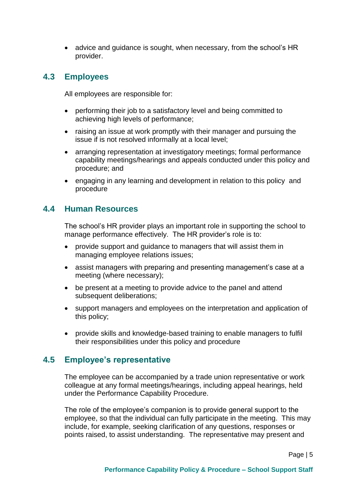• advice and guidance is sought, when necessary, from the school's HR provider.

#### <span id="page-5-0"></span>**4.3 Employees**

All employees are responsible for:

- performing their job to a satisfactory level and being committed to achieving high levels of performance;
- raising an issue at work promptly with their manager and pursuing the issue if is not resolved informally at a local level;
- arranging representation at investigatory meetings; formal performance capability meetings/hearings and appeals conducted under this policy and procedure; and
- engaging in any learning and development in relation to this policy and procedure

### <span id="page-5-1"></span>**4.4 Human Resources**

The school's HR provider plays an important role in supporting the school to manage performance effectively. The HR provider's role is to:

- provide support and guidance to managers that will assist them in managing employee relations issues;
- assist managers with preparing and presenting management's case at a meeting (where necessary);
- be present at a meeting to provide advice to the panel and attend subsequent deliberations:
- support managers and employees on the interpretation and application of this policy;
- provide skills and knowledge-based training to enable managers to fulfil their responsibilities under this policy and procedure

### <span id="page-5-2"></span>**4.5 Employee's representative**

The employee can be accompanied by a trade union representative or work colleague at any formal meetings/hearings, including appeal hearings, held under the Performance Capability Procedure.

The role of the employee's companion is to provide general support to the employee, so that the individual can fully participate in the meeting. This may include, for example, seeking clarification of any questions, responses or points raised, to assist understanding. The representative may present and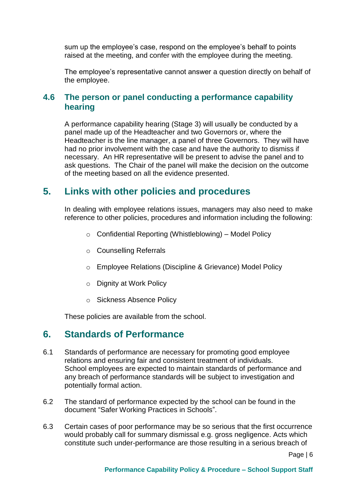sum up the employee's case, respond on the employee's behalf to points raised at the meeting, and confer with the employee during the meeting.

The employee's representative cannot answer a question directly on behalf of the employee.

### <span id="page-6-0"></span>**4.6 The person or panel conducting a performance capability hearing**

A performance capability hearing (Stage 3) will usually be conducted by a panel made up of the Headteacher and two Governors or, where the Headteacher is the line manager, a panel of three Governors. They will have had no prior involvement with the case and have the authority to dismiss if necessary. An HR representative will be present to advise the panel and to ask questions. The Chair of the panel will make the decision on the outcome of the meeting based on all the evidence presented.

### <span id="page-6-1"></span>**5. Links with other policies and procedures**

In dealing with employee relations issues, managers may also need to make reference to other policies, procedures and information including the following:

- o Confidential Reporting (Whistleblowing) Model Policy
- o Counselling Referrals
- o Employee Relations (Discipline & Grievance) Model Policy
- o Dignity at Work Policy
- o Sickness Absence Policy

These policies are available from the school.

### <span id="page-6-2"></span>**6. Standards of Performance**

- 6.1 Standards of performance are necessary for promoting good employee relations and ensuring fair and consistent treatment of individuals. School employees are expected to maintain standards of performance and any breach of performance standards will be subject to investigation and potentially formal action.
- 6.2 The standard of performance expected by the school can be found in the document "Safer Working Practices in Schools".
- 6.3 Certain cases of poor performance may be so serious that the first occurrence would probably call for summary dismissal e.g. gross negligence. Acts which constitute such under-performance are those resulting in a serious breach of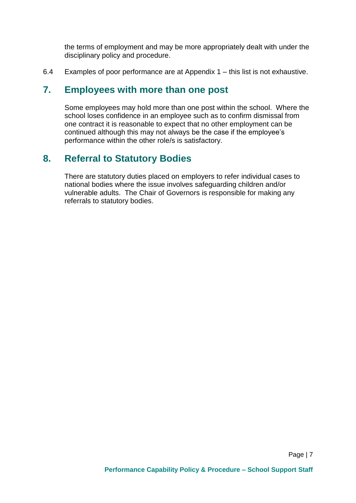the terms of employment and may be more appropriately dealt with under the disciplinary policy and procedure.

6.4 Examples of poor performance are at Appendix 1 – this list is not exhaustive.

### <span id="page-7-0"></span>**7. Employees with more than one post**

Some employees may hold more than one post within the school. Where the school loses confidence in an employee such as to confirm dismissal from one contract it is reasonable to expect that no other employment can be continued although this may not always be the case if the employee's performance within the other role/s is satisfactory.

### <span id="page-7-1"></span>**8. Referral to Statutory Bodies**

There are statutory duties placed on employers to refer individual cases to national bodies where the issue involves safeguarding children and/or vulnerable adults. The Chair of Governors is responsible for making any referrals to statutory bodies.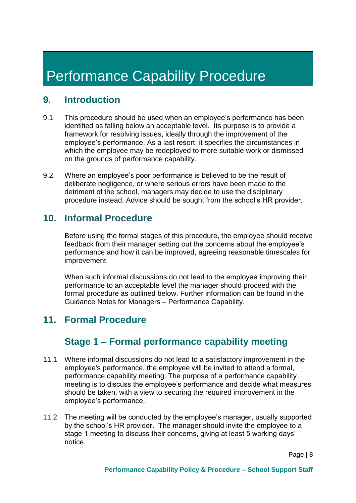## <span id="page-8-0"></span>Performance Capability Procedure

### <span id="page-8-1"></span>**9. Introduction**

- 9.1 This procedure should be used when an employee's performance has been identified as falling below an acceptable level. Its purpose is to provide a framework for resolving issues, ideally through the improvement of the employee's performance. As a last resort, it specifies the circumstances in which the employee may be redeployed to more suitable work or dismissed on the grounds of performance capability.
- 9.2 Where an employee's poor performance is believed to be the result of deliberate negligence, or where serious errors have been made to the detriment of the school, managers may decide to use the disciplinary procedure instead. Advice should be sought from the school's HR provider.

### **10. Informal Procedure**

Before using the formal stages of this procedure, the employee should receive feedback from their manager setting out the concerns about the employee's performance and how it can be improved, agreeing reasonable timescales for improvement.

When such informal discussions do not lead to the employee improving their performance to an acceptable level the manager should proceed with the formal procedure as outlined below. Further information can be found in the Guidance Notes for Managers – Performance Capability.

### <span id="page-8-2"></span>**11. Formal Procedure**

### **Stage 1 – Formal performance capability meeting**

- <span id="page-8-3"></span>11.1 Where informal discussions do not lead to a satisfactory improvement in the employee's performance, the employee will be invited to attend a formal, performance capability meeting. The purpose of a performance capability meeting is to discuss the employee's performance and decide what measures should be taken, with a view to securing the required improvement in the employee's performance.
- 11.2 The meeting will be conducted by the employee's manager, usually supported by the school's HR provider. The manager should invite the employee to a stage 1 meeting to discuss their concerns, giving at least 5 working days' notice.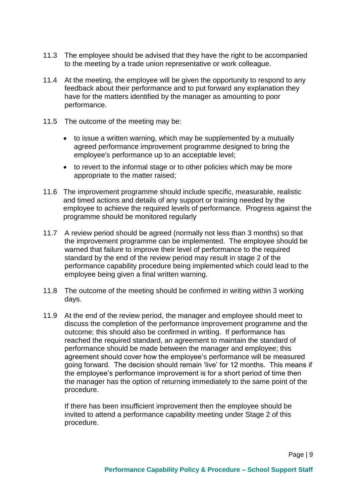- 11.3 The employee should be advised that they have the right to be accompanied to the meeting by a trade union representative or work colleague.
- 11.4 At the meeting, the employee will be given the opportunity to respond to any feedback about their performance and to put forward any explanation they have for the matters identified by the manager as amounting to poor performance.
- 11.5 The outcome of the meeting may be:
	- to issue a written warning, which may be supplemented by a mutually agreed performance improvement programme designed to bring the employee's performance up to an acceptable level;
	- to revert to the informal stage or to other policies which may be more appropriate to the matter raised;
- 11.6 The improvement programme should include specific, measurable, realistic and timed actions and details of any support or training needed by the employee to achieve the required levels of performance. Progress against the programme should be monitored regularly
- 11.7 A review period should be agreed (normally not less than 3 months) so that the improvement programme can be implemented. The employee should be warned that failure to improve their level of performance to the required standard by the end of the review period may result in stage 2 of the performance capability procedure being implemented which could lead to the employee being given a final written warning.
- 11.8 The outcome of the meeting should be confirmed in writing within 3 working days.
- 11.9 At the end of the review period, the manager and employee should meet to discuss the completion of the performance improvement programme and the outcome; this should also be confirmed in writing. If performance has reached the required standard, an agreement to maintain the standard of performance should be made between the manager and employee; this agreement should cover how the employee's performance will be measured going forward. The decision should remain 'live' for 12 months. This means if the employee's performance improvement is for a short period of time then the manager has the option of returning immediately to the same point of the procedure.

If there has been insufficient improvement then the employee should be invited to attend a performance capability meeting under Stage 2 of this procedure.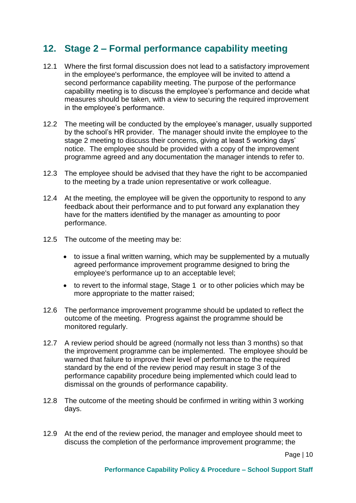### <span id="page-10-0"></span>**12. Stage 2 – Formal performance capability meeting**

- 12.1 Where the first formal discussion does not lead to a satisfactory improvement in the employee's performance, the employee will be invited to attend a second performance capability meeting. The purpose of the performance capability meeting is to discuss the employee's performance and decide what measures should be taken, with a view to securing the required improvement in the employee's performance.
- 12.2 The meeting will be conducted by the employee's manager, usually supported by the school's HR provider. The manager should invite the employee to the stage 2 meeting to discuss their concerns, giving at least 5 working days' notice. The employee should be provided with a copy of the improvement programme agreed and any documentation the manager intends to refer to.
- 12.3 The employee should be advised that they have the right to be accompanied to the meeting by a trade union representative or work colleague.
- 12.4 At the meeting, the employee will be given the opportunity to respond to any feedback about their performance and to put forward any explanation they have for the matters identified by the manager as amounting to poor performance.
- 12.5 The outcome of the meeting may be:
	- to issue a final written warning, which may be supplemented by a mutually agreed performance improvement programme designed to bring the employee's performance up to an acceptable level;
	- to revert to the informal stage, Stage 1 or to other policies which may be more appropriate to the matter raised;
- 12.6 The performance improvement programme should be updated to reflect the outcome of the meeting. Progress against the programme should be monitored regularly.
- 12.7 A review period should be agreed (normally not less than 3 months) so that the improvement programme can be implemented. The employee should be warned that failure to improve their level of performance to the required standard by the end of the review period may result in stage 3 of the performance capability procedure being implemented which could lead to dismissal on the grounds of performance capability.
- 12.8 The outcome of the meeting should be confirmed in writing within 3 working days.
- 12.9 At the end of the review period, the manager and employee should meet to discuss the completion of the performance improvement programme; the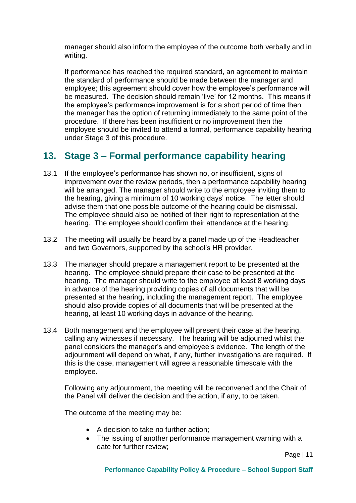manager should also inform the employee of the outcome both verbally and in writing.

If performance has reached the required standard, an agreement to maintain the standard of performance should be made between the manager and employee; this agreement should cover how the employee's performance will be measured. The decision should remain 'live' for 12 months. This means if the employee's performance improvement is for a short period of time then the manager has the option of returning immediately to the same point of the procedure. If there has been insufficient or no improvement then the employee should be invited to attend a formal, performance capability hearing under Stage 3 of this procedure.

### <span id="page-11-0"></span>**13. Stage 3 – Formal performance capability hearing**

- 13.1 If the employee's performance has shown no, or insufficient, signs of improvement over the review periods, then a performance capability hearing will be arranged. The manager should write to the employee inviting them to the hearing, giving a minimum of 10 working days' notice. The letter should advise them that one possible outcome of the hearing could be dismissal. The employee should also be notified of their right to representation at the hearing. The employee should confirm their attendance at the hearing.
- 13.2 The meeting will usually be heard by a panel made up of the Headteacher and two Governors, supported by the school's HR provider.
- 13.3 The manager should prepare a management report to be presented at the hearing. The employee should prepare their case to be presented at the hearing. The manager should write to the employee at least 8 working days in advance of the hearing providing copies of all documents that will be presented at the hearing, including the management report. The employee should also provide copies of all documents that will be presented at the hearing, at least 10 working days in advance of the hearing.
- 13.4 Both management and the employee will present their case at the hearing, calling any witnesses if necessary. The hearing will be adjourned whilst the panel considers the manager's and employee's evidence. The length of the adjournment will depend on what, if any, further investigations are required. If this is the case, management will agree a reasonable timescale with the employee.

Following any adjournment, the meeting will be reconvened and the Chair of the Panel will deliver the decision and the action, if any, to be taken.

The outcome of the meeting may be:

- A decision to take no further action;
- The issuing of another performance management warning with a date for further review;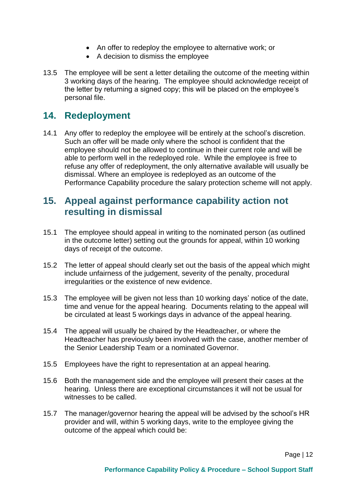- An offer to redeploy the employee to alternative work; or
- A decision to dismiss the employee
- 13.5 The employee will be sent a letter detailing the outcome of the meeting within 3 working days of the hearing. The employee should acknowledge receipt of the letter by returning a signed copy; this will be placed on the employee's personal file.

### <span id="page-12-0"></span>**14. Redeployment**

14.1 Any offer to redeploy the employee will be entirely at the school's discretion. Such an offer will be made only where the school is confident that the employee should not be allowed to continue in their current role and will be able to perform well in the redeployed role. While the employee is free to refuse any offer of redeployment, the only alternative available will usually be dismissal. Where an employee is redeployed as an outcome of the Performance Capability procedure the salary protection scheme will not apply.

### **15. Appeal against performance capability action not resulting in dismissal**

- 15.1 The employee should appeal in writing to the nominated person (as outlined in the outcome letter) setting out the grounds for appeal, within 10 working days of receipt of the outcome.
- 15.2 The letter of appeal should clearly set out the basis of the appeal which might include unfairness of the judgement, severity of the penalty, procedural irregularities or the existence of new evidence.
- 15.3 The employee will be given not less than 10 working days' notice of the date, time and venue for the appeal hearing. Documents relating to the appeal will be circulated at least 5 workings days in advance of the appeal hearing.
- 15.4 The appeal will usually be chaired by the Headteacher, or where the Headteacher has previously been involved with the case, another member of the Senior Leadership Team or a nominated Governor.
- 15.5 Employees have the right to representation at an appeal hearing.
- 15.6 Both the management side and the employee will present their cases at the hearing. Unless there are exceptional circumstances it will not be usual for witnesses to be called.
- 15.7 The manager/governor hearing the appeal will be advised by the school's HR provider and will, within 5 working days, write to the employee giving the outcome of the appeal which could be: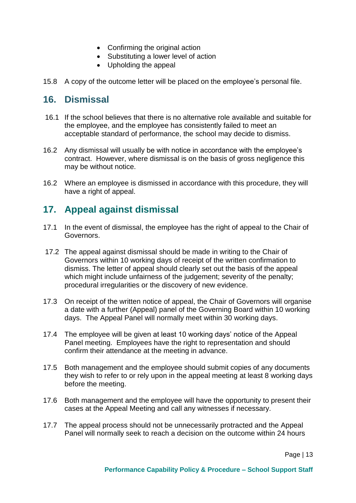- Confirming the original action
- Substituting a lower level of action
- Upholding the appeal
- 15.8 A copy of the outcome letter will be placed on the employee's personal file.

### **16. Dismissal**

- 16.1 If the school believes that there is no alternative role available and suitable for the employee, and the employee has consistently failed to meet an acceptable standard of performance, the school may decide to dismiss.
- 16.2 Any dismissal will usually be with notice in accordance with the employee's contract. However, where dismissal is on the basis of gross negligence this may be without notice.
- 16.2 Where an employee is dismissed in accordance with this procedure, they will have a right of appeal.

### <span id="page-13-0"></span>**17. Appeal against dismissal**

- 17.1 In the event of dismissal, the employee has the right of appeal to the Chair of Governors.
- 17.2 The appeal against dismissal should be made in writing to the Chair of Governors within 10 working days of receipt of the written confirmation to dismiss. The letter of appeal should clearly set out the basis of the appeal which might include unfairness of the judgement; severity of the penalty; procedural irregularities or the discovery of new evidence.
- 17.3 On receipt of the written notice of appeal, the Chair of Governors will organise a date with a further (Appeal) panel of the Governing Board within 10 working days. The Appeal Panel will normally meet within 30 working days.
- 17.4 The employee will be given at least 10 working days' notice of the Appeal Panel meeting. Employees have the right to representation and should confirm their attendance at the meeting in advance.
- 17.5 Both management and the employee should submit copies of any documents they wish to refer to or rely upon in the appeal meeting at least 8 working days before the meeting.
- 17.6 Both management and the employee will have the opportunity to present their cases at the Appeal Meeting and call any witnesses if necessary.
- 17.7 The appeal process should not be unnecessarily protracted and the Appeal Panel will normally seek to reach a decision on the outcome within 24 hours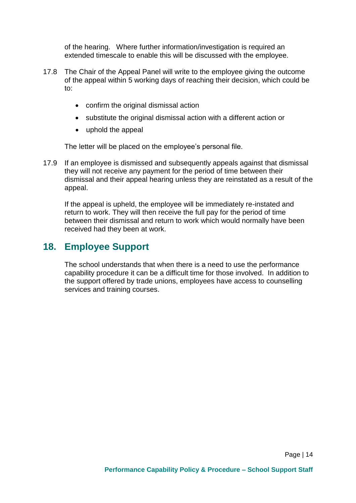of the hearing. Where further information/investigation is required an extended timescale to enable this will be discussed with the employee.

- 17.8 The Chair of the Appeal Panel will write to the employee giving the outcome of the appeal within 5 working days of reaching their decision, which could be to:
	- confirm the original dismissal action
	- substitute the original dismissal action with a different action or
	- uphold the appeal

The letter will be placed on the employee's personal file.

17.9 If an employee is dismissed and subsequently appeals against that dismissal they will not receive any payment for the period of time between their dismissal and their appeal hearing unless they are reinstated as a result of the appeal.

If the appeal is upheld, the employee will be immediately re-instated and return to work. They will then receive the full pay for the period of time between their dismissal and return to work which would normally have been received had they been at work.

### <span id="page-14-0"></span>**18. Employee Support**

The school understands that when there is a need to use the performance capability procedure it can be a difficult time for those involved. In addition to the support offered by trade unions, employees have access to counselling services and training courses.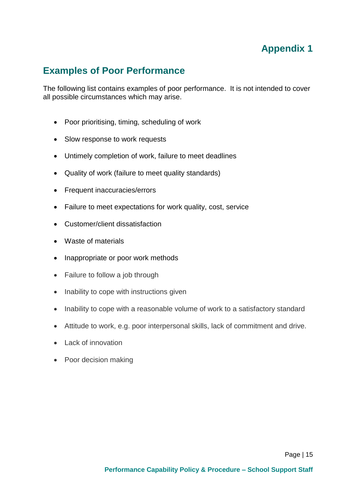### **Appendix 1**

### <span id="page-15-1"></span><span id="page-15-0"></span>**Examples of Poor Performance**

The following list contains examples of poor performance. It is not intended to cover all possible circumstances which may arise.

- Poor prioritising, timing, scheduling of work
- Slow response to work requests
- Untimely completion of work, failure to meet deadlines
- Quality of work (failure to meet quality standards)
- Frequent inaccuracies/errors
- Failure to meet expectations for work quality, cost, service
- Customer/client dissatisfaction
- Waste of materials
- Inappropriate or poor work methods
- Failure to follow a job through
- Inability to cope with instructions given
- Inability to cope with a reasonable volume of work to a satisfactory standard
- Attitude to work, e.g. poor interpersonal skills, lack of commitment and drive.
- Lack of innovation
- Poor decision making